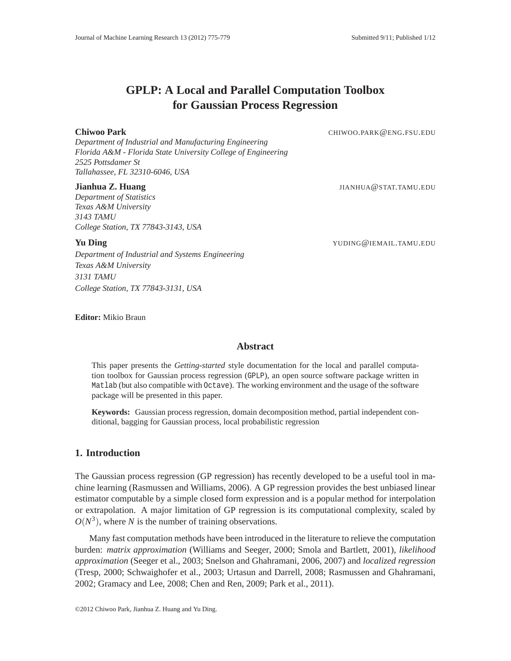*2525 Pottsdamer St*

*Department of Statistics Texas A&M University 3143 TAMU College Station, TX 77843-3143, USA*

*Tallahassee, FL 32310-6046, USA*

**Yu Ding** YUDING@IEMAIL.TAMU.EDU *Department of Industrial and Systems Engineering*

*Texas A&M University 3131 TAMU College Station, TX 77843-3131, USA*

**Editor:** Mikio Braun

### **Abstract**

**GPLP: A Local and Parallel Computation Toolbox for Gaussian Process Regression**

This paper presents the *Getting-started* style documentation for the local and parallel computation toolbox for Gaussian process regression (GPLP), an open source software package written in Matlab (but also compatible with Octave). The working environment and the usage of the software package will be presented in this paper.

**Keywords:** Gaussian process regression, domain decomposition method, partial independent conditional, bagging for Gaussian process, local probabilistic regression

## **1. Introduction**

The Gaussian process regression (GP regression) has recently developed to be a useful tool in machine learning (Rasmussen and Williams, 2006). A GP regression provides the best unbiased linear estimator computable by a simple closed form expression and is a popular method for interpolation or extrapolation. A major limitation of GP regression is its computational complexity, scaled by  $O(N^3)$ , where *N* is the number of training observations.

Many fast computation methods have been introduced in the literature to relieve the computation burden: *matrix approximation* (Williams and Seeger, 2000; Smola and Bartlett, 2001), *likelihood approximation* (Seeger et al., 2003; Snelson and Ghahramani, 2006, 2007) and *localized regression* (Tresp, 2000; Schwaighofer et al., 2003; Urtasun and Darrell, 2008; Rasmussen and Ghahramani, 2002; Gramacy and Lee, 2008; Chen and Ren, 2009; Park et al., 2011).

*Department of Industrial and Manufacturing Engineering Florida A&M - Florida State University College of Engineering*

**Chiwoo Park** CHIWOO.PARK@ENG.FSU.EDU

**Jianhua Z. Huang** JIANHUA@STAT.TAMU.EDU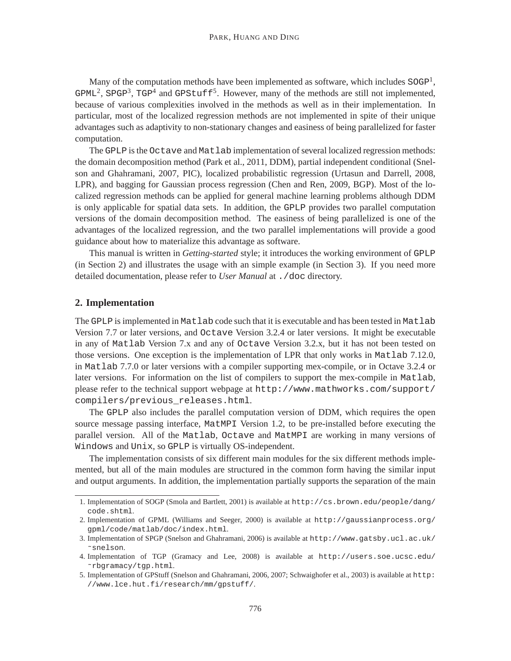Many of the computation methods have been implemented as software, which includes  $S OGP<sup>1</sup>$ , GPML<sup>2</sup>, SPGP<sup>3</sup>, TGP<sup>4</sup> and GPStuff<sup>5</sup>. However, many of the methods are still not implemented, because of various complexities involved in the methods as well as in their implementation. In particular, most of the localized regression methods are not implemented in spite of their unique advantages such as adaptivity to non-stationary changes and easiness of being parallelized for faster computation.

The GPLP is the Octave and Matlab implementation of several localized regression methods: the domain decomposition method (Park et al., 2011, DDM), partial independent conditional (Snelson and Ghahramani, 2007, PIC), localized probabilistic regression (Urtasun and Darrell, 2008, LPR), and bagging for Gaussian process regression (Chen and Ren, 2009, BGP). Most of the localized regression methods can be applied for general machine learning problems although DDM is only applicable for spatial data sets. In addition, the GPLP provides two parallel computation versions of the domain decomposition method. The easiness of being parallelized is one of the advantages of the localized regression, and the two parallel implementations will provide a good guidance about how to materialize this advantage as software.

This manual is written in *Getting-started* style; it introduces the working environment of GPLP (in Section 2) and illustrates the usage with an simple example (in Section 3). If you need more detailed documentation, please refer to *User Manual* at ./doc directory.

### **2. Implementation**

The GPLP is implemented in Matlab code such that it is executable and has been tested in Matlab Version 7.7 or later versions, and Octave Version 3.2.4 or later versions. It might be executable in any of Matlab Version 7.x and any of Octave Version 3.2.x, but it has not been tested on those versions. One exception is the implementation of LPR that only works in Matlab 7.12.0, in Matlab 7.7.0 or later versions with a compiler supporting mex-compile, or in Octave 3.2.4 or later versions. For information on the list of compilers to support the mex-compile in Matlab, please refer to the technical support webpage at http://www.mathworks.com/support/ compilers/previous\_releases.html.

The GPLP also includes the parallel computation version of DDM, which requires the open source message passing interface, MatMPI Version 1.2, to be pre-installed before executing the parallel version. All of the Matlab, Octave and MatMPI are working in many versions of Windows and Unix, so GPLP is virtually OS-independent.

The implementation consists of six different main modules for the six different methods implemented, but all of the main modules are structured in the common form having the similar input and output arguments. In addition, the implementation partially supports the separation of the main

<sup>1.</sup> Implementation of SOGP (Smola and Bartlett, 2001) is available at http://cs.brown.edu/people/dang/ code.shtml.

<sup>2.</sup> Implementation of GPML (Williams and Seeger, 2000) is available at http://gaussianprocess.org/ gpml/code/matlab/doc/index.html.

<sup>3.</sup> Implementation of SPGP (Snelson and Ghahramani, 2006) is available at http://www.gatsby.ucl.ac.uk/ ˜snelson.

<sup>4.</sup> Implementation of TGP (Gramacy and Lee, 2008) is available at http://users.soe.ucsc.edu/ ˜rbgramacy/tgp.html.

<sup>5.</sup> Implementation of GPStuff (Snelson and Ghahramani, 2006, 2007; Schwaighofer et al., 2003) is available at http: //www.lce.hut.fi/research/mm/gpstuff/.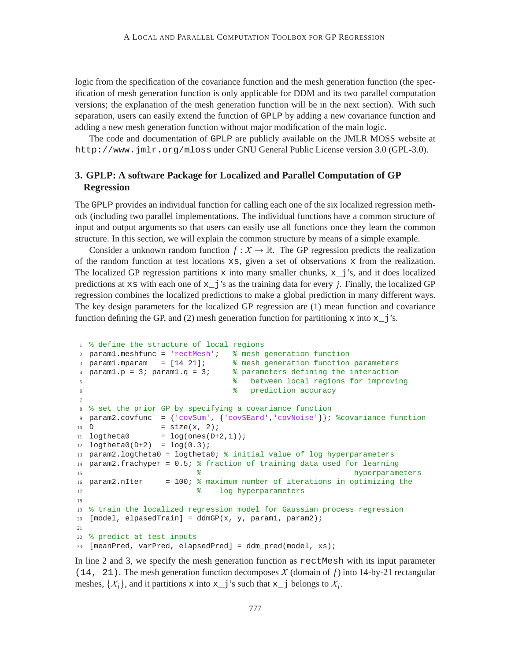logic from the specification of the covariance function and the mesh generation function (the specification of mesh generation function is only applicable for DDM and its two parallel computation versions; the explanation of the mesh generation function will be in the next section). With such separation, users can easily extend the function of GPLP by adding a new covariance function and adding a new mesh generation function without major modification of the main logic.

The code and documentation of GPLP are publicly available on the JMLR MOSS website at http://www.jmlr.org/mloss under GNU General Public License version 3.0 (GPL-3.0).

# **3. GPLP: A software Package for Localized and Parallel Computation of GP Regression**

The GPLP provides an individual function for calling each one of the six localized regression methods (including two parallel implementations. The individual functions have a common structure of input and output arguments so that users can easily use all functions once they learn the common structure. In this section, we will explain the common structure by means of a simple example.

Consider a unknown random function  $f: X \to \mathbb{R}$ . The GP regression predicts the realization of the random function at test locations  $x$ s, given a set of observations  $x$  from the realization. The localized GP regression partitions x into many smaller chunks,  $x_j$  s, and it does localized predictions at xs with each one of x\_j's as the training data for every *j*. Finally, the localized GP regression combines the localized predictions to make a global prediction in many different ways. The key design parameters for the localized GP regression are (1) mean function and covariance function defining the GP, and (2) mesh generation function for partitioning  $x$  into  $x_j$ .

```
1 % define the structure of local regions
2 param1.meshfunc = 'rectMesh'; % mesh generation function
3 param1.mparam = [14 21]; % mesh generation function parameters
4 param1.p = 3; param1.q = 3; % parameters defining the interaction
5 % between local regions for improving
6 % prediction accuracy
7
8 % set the prior GP by specifying a covariance function
9 param2.covfunc = {'covSum', {'covSEard','covNoise'}}; %covariance function
10 D = size(x, 2);11 logthetaa = log(ones(D+2,1));12 \text{ logtheta}(D+2) = \log(0.3);13 param2.logtheta0 = logtheta0; % initial value of log hyperparameters
14 param2.frachyper = 0.5; % fraction of training data used for learning
15 and the set of the set of the set of the set of the set of the set of the set of the set of the set of the set of the set of the set of the set of the set of the set of the set of the set of the set of the set of the se
16 param2.nIter = 100; % maximum number of iterations in optimizing the
17 8 log hyperparameters
18
19 % train the localized regression model for Gaussian process regression
20 [model, elpasedTrain] = ddmGP(x, y, param1, param2);
21
22 % predict at test inputs
23 [meanPred, varPred, elapsedPred] = ddm_pred(model, xs);
```
In line 2 and 3, we specify the mesh generation function as rectes with its input parameter  $(14, 21)$ . The mesh generation function decomposes X (domain of f) into 14-by-21 rectangular meshes,  $\{X_j\}$ , and it partitions x into x\_j's such that x\_j belongs to  $X_j$ .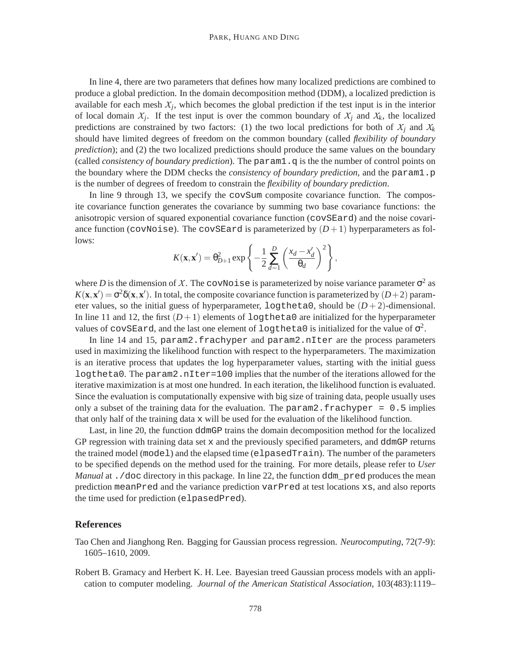In line 4, there are two parameters that defines how many localized predictions are combined to produce a global prediction. In the domain decomposition method (DDM), a localized prediction is available for each mesh  $X_j$ , which becomes the global prediction if the test input is in the interior of local domain  $X_j$ . If the test input is over the common boundary of  $X_j$  and  $X_k$ , the localized predictions are constrained by two factors: (1) the two local predictions for both of  $X_i$  and  $X_k$ should have limited degrees of freedom on the common boundary (called *flexibility of boundary prediction*); and (2) the two localized predictions should produce the same values on the boundary (called *consistency of boundary prediction*). The param1.q is the the number of control points on the boundary where the DDM checks the *consistency of boundary prediction*, and the param1.p is the number of degrees of freedom to constrain the *flexibility of boundary prediction*.

In line 9 through 13, we specify the covSum composite covariance function. The composite covariance function generates the covariance by summing two base covariance functions: the anisotropic version of squared exponential covariance function (covSEard) and the noise covariance function (covNoise). The covSEard is parameterized by  $(D+1)$  hyperparameters as follows:

$$
K(\mathbf{x}, \mathbf{x}') = \theta_{D+1}^2 \exp\left\{-\frac{1}{2} \sum_{d=1}^D \left(\frac{x_d - x'_d}{\theta_d}\right)^2\right\},\,
$$

where *D* is the dimension of *X*. The covNoise is parameterized by noise variance parameter  $\sigma^2$  as  $K(\mathbf{x}, \mathbf{x}') = \sigma^2 \delta(\mathbf{x}, \mathbf{x}')$ . In total, the composite covariance function is parameterized by  $(D+2)$  parameter values, so the initial guess of hyperparameter,  $logtheta$ , should be  $(D+2)$ -dimensional. In line 11 and 12, the first  $(D+1)$  elements of logtheta0 are initialized for the hyperparameter values of covSEard, and the last one element of logtheta0 is initialized for the value of  $\sigma^2$ .

In line 14 and 15, param2.frachyper and param2.nIter are the process parameters used in maximizing the likelihood function with respect to the hyperparameters. The maximization is an iterative process that updates the log hyperparameter values, starting with the initial guess logtheta0. The param2.nIter=100 implies that the number of the iterations allowed for the iterative maximization is at most one hundred. In each iteration, the likelihood function is evaluated. Since the evaluation is computationally expensive with big size of training data, people usually uses only a subset of the training data for the evaluation. The param2.frachyper =  $0.5$  implies that only half of the training data  $x$  will be used for the evaluation of the likelihood function.

Last, in line 20, the function ddmGP trains the domain decomposition method for the localized GP regression with training data set  $x$  and the previously specified parameters, and ddmGP returns the trained model (model) and the elapsed time (elpasedTrain). The number of the parameters to be specified depends on the method used for the training. For more details, please refer to *User Manual* at ./doc directory in this package. In line 22, the function ddm\_pred produces the mean prediction meanPred and the variance prediction varPred at test locations xs, and also reports the time used for prediction (elpasedPred).

#### **References**

- Tao Chen and Jianghong Ren. Bagging for Gaussian process regression. *Neurocomputing*, 72(7-9): 1605–1610, 2009.
- Robert B. Gramacy and Herbert K. H. Lee. Bayesian treed Gaussian process models with an application to computer modeling. *Journal of the American Statistical Association*, 103(483):1119–